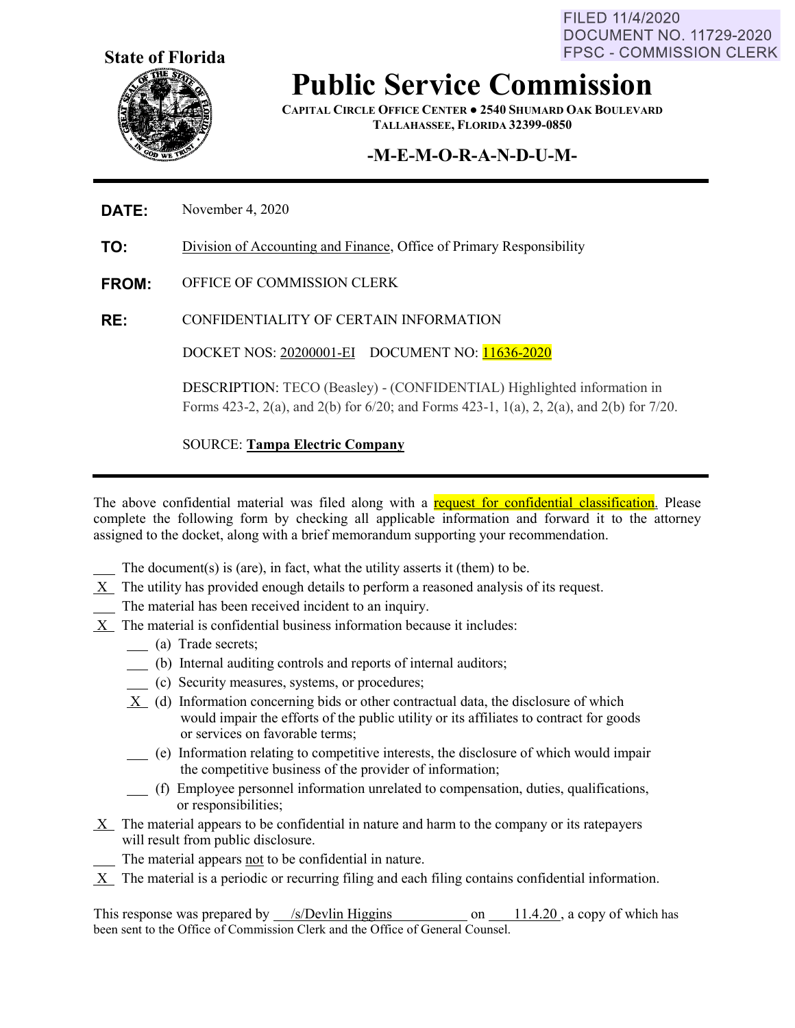FILED 11/4/2020 **DOCUMENT NO. 11729-2020 FPSC - COMMISSION CLERK** 



## **Public Service Commission**

**CAPITAL CIRCLE OFFICE CENTER ● 2540 SHUMARD OAK BOULEVARD TALLAHASSEE, FLORIDA 32399-0850**

### **-M-E-M-O-R-A-N-D-U-M-**

#### **DATE:** November 4, 2020

**TO:** Division of Accounting and Finance, Office of Primary Responsibility

**FROM:** OFFICE OF COMMISSION CLERK

**RE:** CONFIDENTIALITY OF CERTAIN INFORMATION

DOCKET NOS: 20200001-EI DOCUMENT NO: 11636-2020

DESCRIPTION: TECO (Beasley) - (CONFIDENTIAL) Highlighted information in Forms 423-2, 2(a), and 2(b) for 6/20; and Forms 423-1, 1(a), 2, 2(a), and 2(b) for 7/20.

SOURCE: **Tampa Electric Company** 

The above confidential material was filed along with a request for confidential classification. Please complete the following form by checking all applicable information and forward it to the attorney assigned to the docket, along with a brief memorandum supporting your recommendation.

- The document(s) is (are), in fact, what the utility asserts it (them) to be.
- X The utility has provided enough details to perform a reasoned analysis of its request.
- The material has been received incident to an inquiry.
- X The material is confidential business information because it includes:
	- (a) Trade secrets;
	- (b) Internal auditing controls and reports of internal auditors;
	- (c) Security measures, systems, or procedures;
	- X (d) Information concerning bids or other contractual data, the disclosure of which would impair the efforts of the public utility or its affiliates to contract for goods or services on favorable terms;
	- (e) Information relating to competitive interests, the disclosure of which would impair the competitive business of the provider of information;
	- (f) Employee personnel information unrelated to compensation, duties, qualifications, or responsibilities;
- X The material appears to be confidential in nature and harm to the company or its ratepayers will result from public disclosure.
	- The material appears not to be confidential in nature.
- $X$  The material is a periodic or recurring filing and each filing contains confidential information.

This response was prepared by /s/Devlin Higgins on 11.4.20, a copy of which has been sent to the Office of Commission Clerk and the Office of General Counsel.